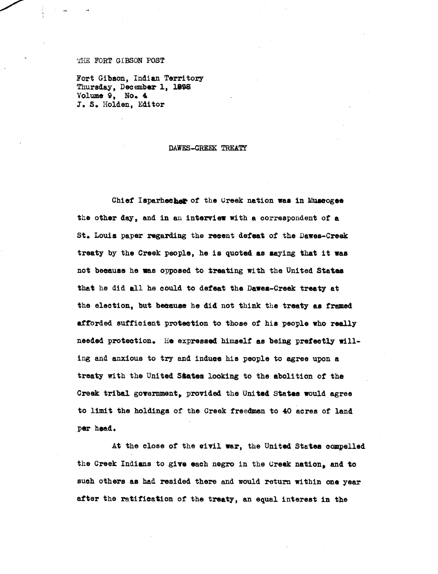## **THE FORT GIBSON POST**

**Fort Gibson, Indian Territory Thursday, December 1, 188E Volume 9, No. 4** 1. S. Holden, Editor

## DAWES-CREEK TREATY

Chief Isparhecher of the Ureek nation was in Muscogee the other day, and in an **interview** with a correspondent of a St. Louis paper **regarding** the recent defeat of the Dawes-Creak treaty by the Creek people, he is quoted. as saying that it was not because he was opposed to treating with the United **States** that he did all he could to defeat the Dawes-Creek treaty at the election, but because he did not think the treaty as framed afforded sufficient protection to those of his people who really needed protection. He expressed **himself as being prefeetly will**ing and anxious to try and induce his people to agree upon a treaty with the United States looking to the abolition of the Creek tribal government, provided the United. States would agree to limit the holdings of the Greek freedmen to 40 acres of land per head.

At the close of the **civil war,** the United States compelled the Creek Indians to **give** each negro in the Ureek nation, and to such others as had resided there and would return within one year after the ratification of the treaty, an equal interest in the